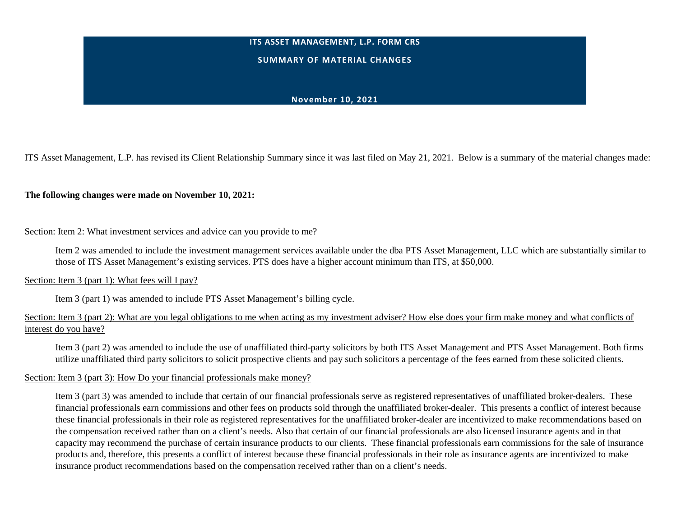### **ITS ASSET MANAGEMENT, L.P. FORM CRS**

#### **SUMMARY OF MATERIAL CHANGES**

### **November 10, 2021**

ITS Asset Management, L.P. has revised its Client Relationship Summary since it was last filed on May 21, 2021. Below is a summary of the material changes made:

#### **The following changes were made on November 10, 2021:**

#### Section: Item 2: What investment services and advice can you provide to me?

Item 2 was amended to include the investment management services available under the dba PTS Asset Management, LLC which are substantially similar to those of ITS Asset Management's existing services. PTS does have a higher account minimum than ITS, at \$50,000.

### Section: Item 3 (part 1): What fees will I pay?

Item 3 (part 1) was amended to include PTS Asset Management's billing cycle.

### Section: Item 3 (part 2): What are you legal obligations to me when acting as my investment adviser? How else does your firm make money and what conflicts of interest do you have?

Item 3 (part 2) was amended to include the use of unaffiliated third-party solicitors by both ITS Asset Management and PTS Asset Management. Both firms utilize unaffiliated third party solicitors to solicit prospective clients and pay such solicitors a percentage of the fees earned from these solicited clients.

#### Section: Item 3 (part 3): How Do your financial professionals make money?

Item 3 (part 3) was amended to include that certain of our financial professionals serve as registered representatives of unaffiliated broker-dealers. These financial professionals earn commissions and other fees on products sold through the unaffiliated broker-dealer. This presents a conflict of interest because these financial professionals in their role as registered representatives for the unaffiliated broker-dealer are incentivized to make recommendations based on the compensation received rather than on a client's needs. Also that certain of our financial professionals are also licensed insurance agents and in that capacity may recommend the purchase of certain insurance products to our clients. These financial professionals earn commissions for the sale of insurance products and, therefore, this presents a conflict of interest because these financial professionals in their role as insurance agents are incentivized to make insurance product recommendations based on the compensation received rather than on a client's needs.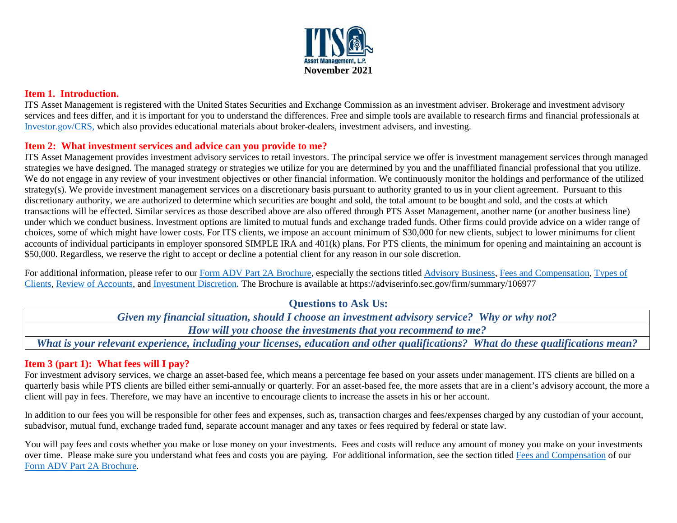

### **Item 1. Introduction.**

ITS Asset Management is registered with the United States Securities and Exchange Commission as an investment adviser. Brokerage and investment advisory services and fees differ, and it is important for you to understand the differences. Free and simple tools are available to research firms and financial professionals at [Investor.gov/CRS,](https://www.investor.gov/CRS) which also provides educational materials about broker-dealers, investment advisers, and investing.

### **Item 2: What investment services and advice can you provide to me?**

ITS Asset Management provides investment advisory services to retail investors. The principal service we offer is investment management services through managed strategies we have designed. The managed strategy or strategies we utilize for you are determined by you and the unaffiliated financial professional that you utilize. We do not engage in any review of your investment objectives or other financial information. We continuously monitor the holdings and performance of the utilized strategy(s). We provide investment management services on a discretionary basis pursuant to authority granted to us in your client agreement. Pursuant to this discretionary authority, we are authorized to determine which securities are bought and sold, the total amount to be bought and sold, and the costs at which transactions will be effected. Similar services as those described above are also offered through PTS Asset Management, another name (or another business line) under which we conduct business. Investment options are limited to mutual funds and exchange traded funds. Other firms could provide advice on a wider range of choices, some of which might have lower costs. For ITS clients, we impose an account minimum of \$30,000 for new clients, subject to lower minimums for client accounts of individual participants in employer sponsored SIMPLE IRA and 401(k) plans. For PTS clients, the minimum for opening and maintaining an account is \$50,000. Regardless, we reserve the right to accept or decline a potential client for any reason in our sole discretion.

For additional information, please refer to our [Form ADV Part 2A Brochure,](https://files.adviserinfo.sec.gov/IAPD/Content/Common/crd_iapd_Brochure.aspx?BRCHR_VRSN_ID=749518) especially the sections titled [Advisory Business,](https://files.adviserinfo.sec.gov/IAPD/Content/Common/crd_iapd_Brochure.aspx?BRCHR_VRSN_ID=749518#page=4) [Fees and Compensation,](https://files.adviserinfo.sec.gov/IAPD/Content/Common/crd_iapd_Brochure.aspx?BRCHR_VRSN_ID=749518#page=10) Types of [Clients,](https://files.adviserinfo.sec.gov/IAPD/Content/Common/crd_iapd_Brochure.aspx?BRCHR_VRSN_ID=749518#page=16) [Review of Accounts,](https://files.adviserinfo.sec.gov/IAPD/Content/Common/crd_iapd_Brochure.aspx?BRCHR_VRSN_ID=749518#page=27) and [Investment Discretion.](https://files.adviserinfo.sec.gov/IAPD/Content/Common/crd_iapd_Brochure.aspx?BRCHR_VRSN_ID=749518#page=32) The Brochure is available at https://adviserinfo.sec.gov/firm/summary/106977

**Questions to Ask Us:** 

*Given my financial situation, should I choose an investment advisory service? Why or why not? How will you choose the investments that you recommend to me? What is your relevant experience, including your licenses, education and other qualifications? What do these qualifications mean?*

# **Item 3 (part 1): What fees will I pay?**

For investment advisory services, we charge an asset-based fee, which means a percentage fee based on your assets under management. ITS clients are billed on a quarterly basis while PTS clients are billed either semi-annually or quarterly. For an asset-based fee, the more assets that are in a client's advisory account, the more a client will pay in fees. Therefore, we may have an incentive to encourage clients to increase the assets in his or her account.

In addition to our fees you will be responsible for other fees and expenses, such as, transaction charges and fees/expenses charged by any custodian of your account, subadvisor, mutual fund, exchange traded fund, separate account manager and any taxes or fees required by federal or state law.

You will pay fees and costs whether you make or lose money on your investments. Fees and costs will reduce any amount of money you make on your investments over time. Please make sure you understand what fees and costs you are paying. For additional information, see the section title[d Fees and Compensation](https://files.adviserinfo.sec.gov/IAPD/Content/Common/crd_iapd_Brochure.aspx?BRCHR_VRSN_ID=749518#page=10) of our [Form ADV Part 2A Brochure.](https://files.adviserinfo.sec.gov/IAPD/Content/Common/crd_iapd_Brochure.aspx?BRCHR_VRSN_ID=749518)